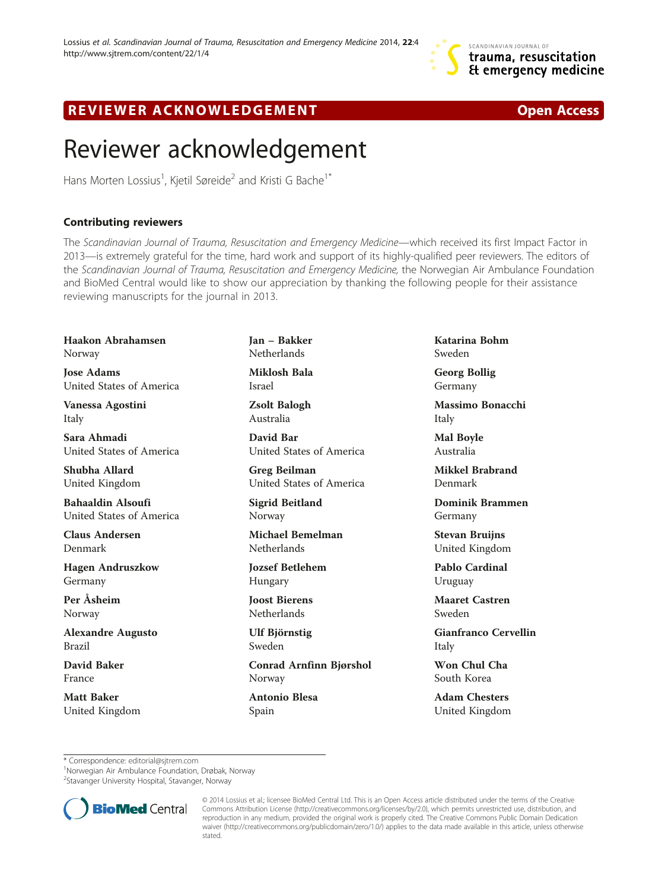## R EVI EW E R ACKNOW L EDG EM EN T Open Access

## Reviewer acknowledgement

Hans Morten Lossius<sup>1</sup>, Kjetil Søreide<sup>2</sup> and Kristi G Bache<sup>1\*</sup>

## Contributing reviewers

The Scandinavian Journal of Trauma, Resuscitation and Emergency Medicine—which received its first Impact Factor in 2013—is extremely grateful for the time, hard work and support of its highly-qualified peer reviewers. The editors of the Scandinavian Journal of Trauma, Resuscitation and Emergency Medicine, the Norwegian Air Ambulance Foundation and BioMed Central would like to show our appreciation by thanking the following people for their assistance reviewing manuscripts for the journal in 2013.

Haakon Abrahamsen Norway

Jose Adams United States of America

Vanessa Agostini Italy

Sara Ahmadi United States of America

Shubha Allard United Kingdom

Bahaaldin Alsoufi United States of America

Claus Andersen Denmark

Hagen Andruszkow Germany

Per Åsheim Norway

Alexandre Augusto Brazil

David Baker France

Matt Baker United Kingdom Jan – Bakker Netherlands Miklosh Bala

Israel

Zsolt Balogh Australia

David Bar United States of America

Greg Beilman United States of America

Sigrid Beitland Norway

Michael Bemelman **Netherlands** 

Jozsef Betlehem Hungary

Joost Bierens Netherlands

Ulf Björnstig Sweden

Conrad Arnfinn Bjørshol Norway

Antonio Blesa Spain

Katarina Bohm Sweden

Georg Bollig Germany

Massimo Bonacchi Italy

Mal Boyle Australia

Mikkel Brabrand Denmark

Dominik Brammen Germany

Stevan Bruijns United Kingdom

Pablo Cardinal Uruguay

Maaret Castren Sweden

Gianfranco Cervellin Italy

Won Chul Cha South Korea

Adam Chesters United Kingdom

\* Correspondence: [editorial@sjtrem.com](mailto:editorial@sjtrem.com) <sup>1</sup>

Norwegian Air Ambulance Foundation, Drøbak, Norway

<sup>2</sup>Stavanger University Hospital, Stavanger, Norway



© 2014 Lossius et al.; licensee BioMed Central Ltd. This is an Open Access article distributed under the terms of the Creative Commons Attribution License [\(http://creativecommons.org/licenses/by/2.0\)](http://creativecommons.org/licenses/by/2.0), which permits unrestricted use, distribution, and reproduction in any medium, provided the original work is properly cited. The Creative Commons Public Domain Dedication waiver [\(http://creativecommons.org/publicdomain/zero/1.0/\)](http://creativecommons.org/publicdomain/zero/1.0/) applies to the data made available in this article, unless otherwise stated.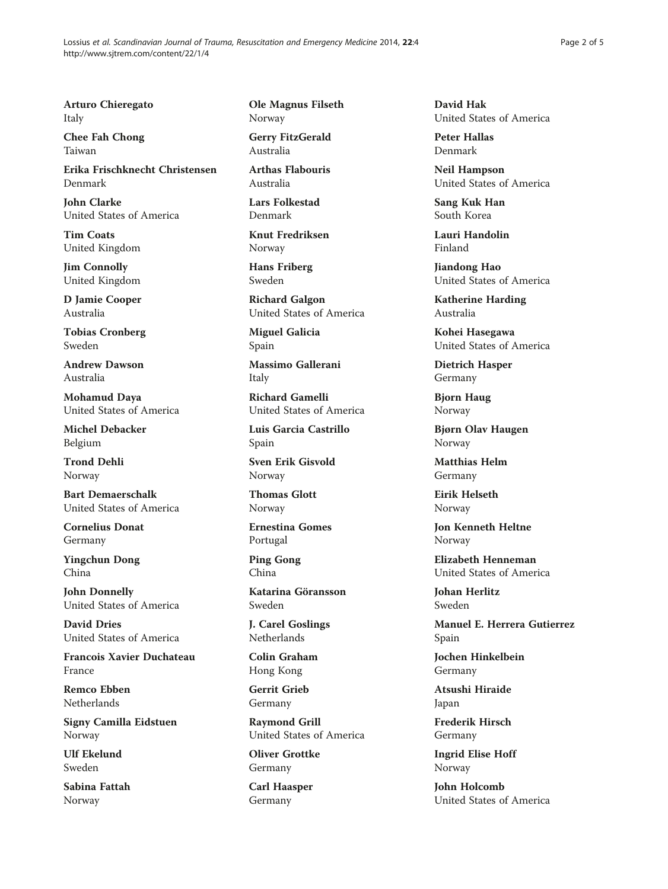Arturo Chieregato Italy

Chee Fah Chong Taiwan

Erika Frischknecht Christensen Denmark

John Clarke United States of America

Tim Coats United Kingdom

Jim Connolly United Kingdom

D Jamie Cooper Australia

Tobias Cronberg Sweden

Andrew Dawson Australia

Mohamud Daya United States of America

Michel Debacker Belgium

Trond Dehli Norway

Bart Demaerschalk United States of America

Cornelius Donat Germany

Yingchun Dong China

John Donnelly United States of America

David Dries United States of America

Francois Xavier Duchateau France

Remco Ebben Netherlands

Signy Camilla Eidstuen Norway

Ulf Ekelund Sweden

Sabina Fattah Norway

Ole Magnus Filseth Norway

Gerry FitzGerald Australia

Arthas Flabouris Australia

Lars Folkestad Denmark

Knut Fredriksen Norway

Hans Friberg Sweden

Richard Galgon United States of America

Miguel Galicia Spain

Massimo Gallerani Italy

Richard Gamelli United States of America

Luis Garcia Castrillo Spain

Sven Erik Gisvold Norway

Thomas Glott Norway

Ernestina Gomes Portugal

Ping Gong China

Katarina Göransson Sweden

J. Carel Goslings **Netherlands** 

Colin Graham Hong Kong

Gerrit Grieb Germany

Raymond Grill United States of America

Oliver Grottke Germany

Carl Haasper Germany

David Hak United States of America

Peter Hallas Denmark

Neil Hampson United States of America

Sang Kuk Han South Korea

Lauri Handolin Finland

Jiandong Hao United States of America

Katherine Harding Australia

Kohei Hasegawa United States of America

Dietrich Hasper Germany

Bjorn Haug Norway

Bjørn Olav Haugen Norway

Matthias Helm Germany

Eirik Helseth Norway

Jon Kenneth Heltne Norway

Elizabeth Henneman United States of America

Johan Herlitz Sweden

Manuel E. Herrera Gutierrez Spain

Jochen Hinkelbein Germany

Atsushi Hiraide Japan

Frederik Hirsch Germany

Ingrid Elise Hoff Norway

John Holcomb United States of America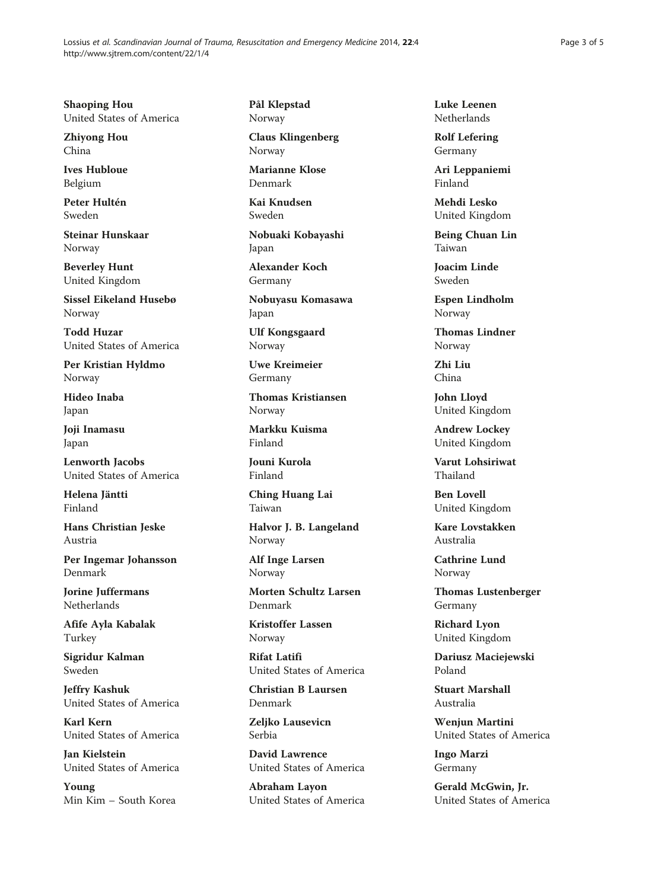Shaoping Hou United States of America

Zhiyong Hou China

Ives Hubloue Belgium

Peter Hultén Sweden

Steinar Hunskaar Norway

Beverley Hunt United Kingdom

Sissel Eikeland Husebø Norway

Todd Huzar United States of America

Per Kristian Hyldmo Norway

Hideo Inaba Japan

Joji Inamasu Japan

Lenworth Jacobs United States of America

Helena Jäntti Finland

Hans Christian Jeske Austria

Per Ingemar Johansson Denmark

Jorine Juffermans Netherlands

Afife Ayla Kabalak Turkey

Sigridur Kalman Sweden

Jeffry Kashuk United States of America

Karl Kern United States of America

Jan Kielstein United States of America

Young Min Kim – South Korea Pål Klepstad Norway

Claus Klingenberg Norway

Marianne Klose Denmark

Kai Knudsen Sweden

Nobuaki Kobayashi Japan

Alexander Koch Germany

Nobuyasu Komasawa Japan

Ulf Kongsgaard Norway

Uwe Kreimeier Germany

Thomas Kristiansen Norway

Markku Kuisma Finland

Jouni Kurola Finland

Ching Huang Lai Taiwan

Halvor J. B. Langeland Norway

Alf Inge Larsen Norway

Morten Schultz Larsen Denmark

Kristoffer Lassen Norway

Rifat Latifi United States of America

Christian B Laursen Denmark

Zeliko Lausevicn Serbia

David Lawrence United States of America

Abraham Layon United States of America Luke Leenen Netherlands

Rolf Lefering Germany

Ari Leppaniemi Finland

Mehdi Lesko United Kingdom

Being Chuan Lin Taiwan

Joacim Linde Sweden

Espen Lindholm Norway

Thomas Lindner Norway

Zhi Liu China

John Lloyd United Kingdom

Andrew Lockey United Kingdom

Varut Lohsiriwat Thailand

Ben Lovell United Kingdom

Kare Lovstakken Australia

Cathrine Lund Norway

Thomas Lustenberger Germany

Richard Lyon United Kingdom

Dariusz Maciejewski Poland

Stuart Marshall Australia

Wenjun Martini United States of America

Ingo Marzi Germany

Gerald McGwin, Jr. United States of America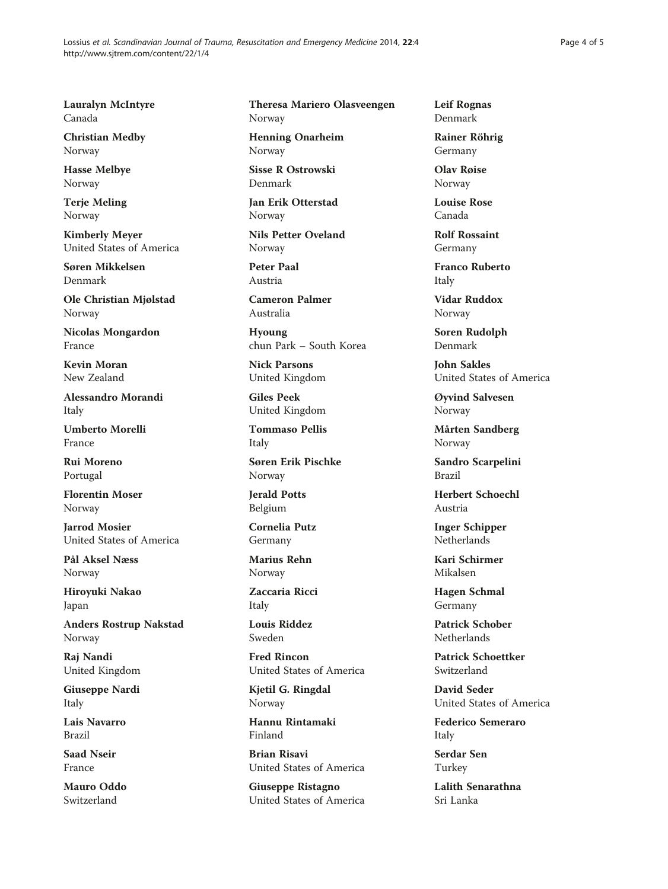Lossius et al. Scandinavian Journal of Trauma, Resuscitation and Emergency Medicine 2014, 22:4 http://www.sjtrem.com/content/22/1/4

Lauralyn McIntyre Canada

Christian Medby Norway

Hasse Melbye Norway

Terje Meling Norway

Kimberly Meyer United States of America

Søren Mikkelsen Denmark

Ole Christian Mjølstad Norway

Nicolas Mongardon France

Kevin Moran New Zealand

Alessandro Morandi Italy

Umberto Morelli France

Rui Moreno Portugal

Florentin Moser Norway

Jarrod Mosier United States of America

Pål Aksel Næss Norway

Hiroyuki Nakao Japan

Anders Rostrup Nakstad Norway

Raj Nandi United Kingdom

Giuseppe Nardi Italy

Lais Navarro Brazil

Saad Nseir France

Mauro Oddo Switzerland

Theresa Mariero Olasveengen Norway

Henning Onarheim Norway

Sisse R Ostrowski Denmark

Jan Erik Otterstad Norway

Nils Petter Oveland Norway

Peter Paal Austria

Cameron Palmer Australia

Hyoung chun Park – South Korea

Nick Parsons United Kingdom

Giles Peek United Kingdom

Tommaso Pellis Italy

Søren Erik Pischke Norway

Jerald Potts Belgium

Cornelia Putz Germany

Marius Rehn Norway

Zaccaria Ricci Italy

Louis Riddez Sweden

Fred Rincon United States of America

Kjetil G. Ringdal Norway

Hannu Rintamaki Finland

Brian Risavi United States of America

Giuseppe Ristagno United States of America Leif Rognas Denmark

Rainer Röhrig Germany

Olav Røise Norway

Louise Rose Canada

Rolf Rossaint Germany

Franco Ruberto Italy

Vidar Ruddox Norway

Soren Rudolph Denmark

John Sakles United States of America

Øyvind Salvesen Norway

Mårten Sandberg Norway

Sandro Scarpelini Brazil

Herbert Schoechl Austria

Inger Schipper Netherlands

Kari Schirmer Mikalsen

Hagen Schmal Germany

Patrick Schober Netherlands

Patrick Schoettker Switzerland

David Seder United States of America

Federico Semeraro Italy

Serdar Sen Turkey

Lalith Senarathna Sri Lanka